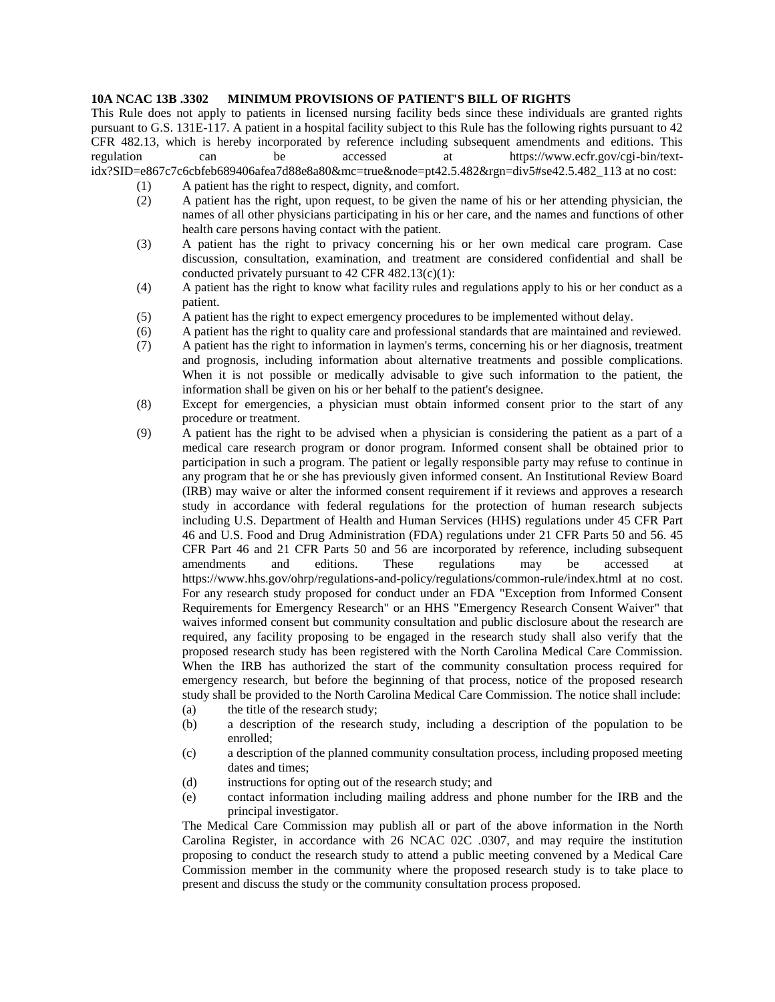## **10A NCAC 13B .3302 MINIMUM PROVISIONS OF PATIENT'S BILL OF RIGHTS**

This Rule does not apply to patients in licensed nursing facility beds since these individuals are granted rights pursuant to G.S. 131E-117. A patient in a hospital facility subject to this Rule has the following rights pursuant to 42 CFR 482.13, which is hereby incorporated by reference including subsequent amendments and editions. This regulation can be accessed at https://www.ecfr.gov/cgi-bin/textidx?SID=e867c7c6cbfeb689406afea7d88e8a80&mc=true&node=pt42.5.482&rgn=div5#se42.5.482\_113 at no cost:

- (1) A patient has the right to respect, dignity, and comfort.
- (2) A patient has the right, upon request, to be given the name of his or her attending physician, the names of all other physicians participating in his or her care, and the names and functions of other health care persons having contact with the patient.
- (3) A patient has the right to privacy concerning his or her own medical care program. Case discussion, consultation, examination, and treatment are considered confidential and shall be conducted privately pursuant to  $42$  CFR  $482.13(c)(1)$ :
- (4) A patient has the right to know what facility rules and regulations apply to his or her conduct as a patient.
- (5) A patient has the right to expect emergency procedures to be implemented without delay.
- (6) A patient has the right to quality care and professional standards that are maintained and reviewed.
- (7) A patient has the right to information in laymen's terms, concerning his or her diagnosis, treatment and prognosis, including information about alternative treatments and possible complications. When it is not possible or medically advisable to give such information to the patient, the information shall be given on his or her behalf to the patient's designee.
- (8) Except for emergencies, a physician must obtain informed consent prior to the start of any procedure or treatment.
- (9) A patient has the right to be advised when a physician is considering the patient as a part of a medical care research program or donor program. Informed consent shall be obtained prior to participation in such a program. The patient or legally responsible party may refuse to continue in any program that he or she has previously given informed consent. An Institutional Review Board (IRB) may waive or alter the informed consent requirement if it reviews and approves a research study in accordance with federal regulations for the protection of human research subjects including U.S. Department of Health and Human Services (HHS) regulations under 45 CFR Part 46 and U.S. Food and Drug Administration (FDA) regulations under 21 CFR Parts 50 and 56. 45 CFR Part 46 and 21 CFR Parts 50 and 56 are incorporated by reference, including subsequent amendments and editions. These regulations may be accessed at https://www.hhs.gov/ohrp/regulations-and-policy/regulations/common-rule/index.html at no cost. For any research study proposed for conduct under an FDA "Exception from Informed Consent Requirements for Emergency Research" or an HHS "Emergency Research Consent Waiver" that waives informed consent but community consultation and public disclosure about the research are required, any facility proposing to be engaged in the research study shall also verify that the proposed research study has been registered with the North Carolina Medical Care Commission. When the IRB has authorized the start of the community consultation process required for emergency research, but before the beginning of that process, notice of the proposed research study shall be provided to the North Carolina Medical Care Commission. The notice shall include:
	- (a) the title of the research study;
	- (b) a description of the research study, including a description of the population to be enrolled;
	- (c) a description of the planned community consultation process, including proposed meeting dates and times;
	- (d) instructions for opting out of the research study; and
	- (e) contact information including mailing address and phone number for the IRB and the principal investigator.

The Medical Care Commission may publish all or part of the above information in the North Carolina Register, in accordance with 26 NCAC 02C .0307, and may require the institution proposing to conduct the research study to attend a public meeting convened by a Medical Care Commission member in the community where the proposed research study is to take place to present and discuss the study or the community consultation process proposed.